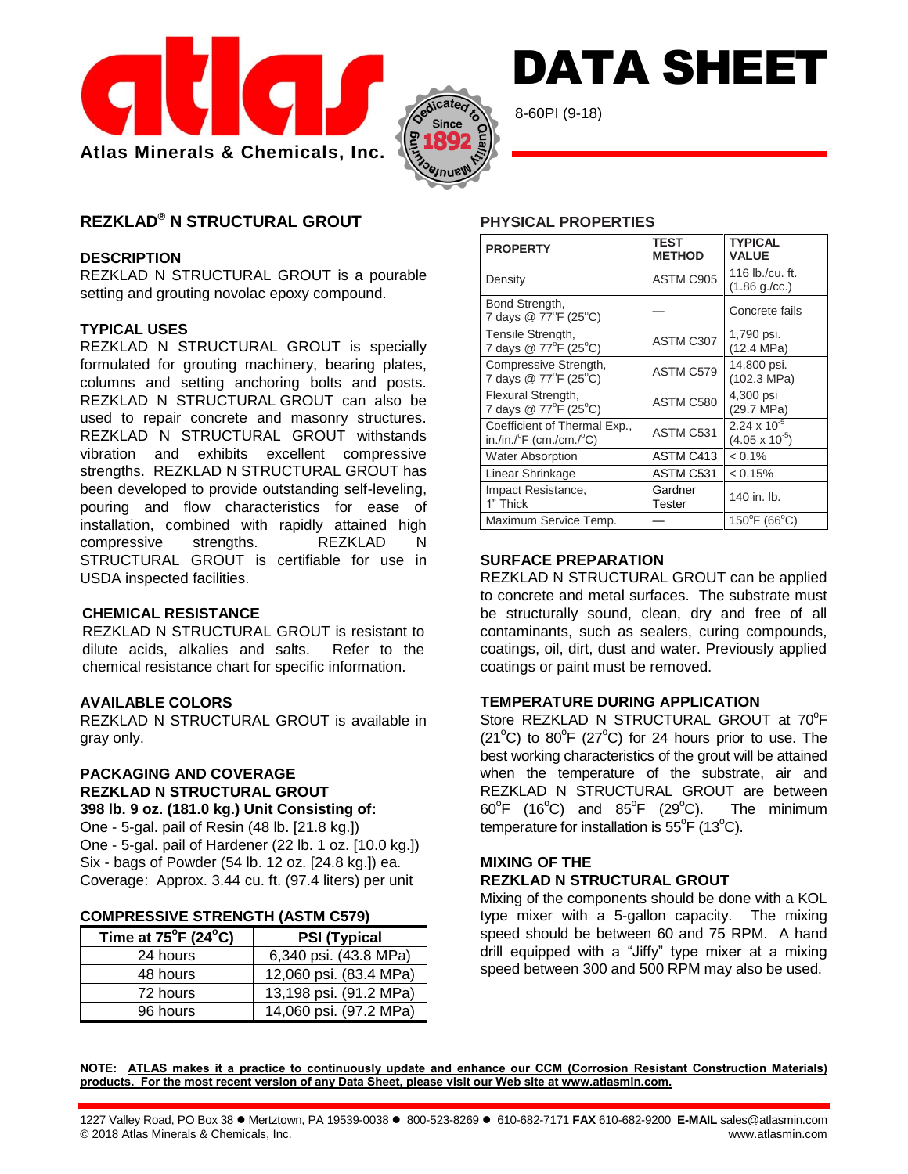



8-60PI (9-18)

# **REZKLAD® N STRUCTURAL GROUT**

### **DESCRIPTION**

REZKLAD N STRUCTURAL GROUT is a pourable setting and grouting novolac epoxy compound.

# **TYPICAL USES**

REZKLAD N STRUCTURAL GROUT is specially formulated for grouting machinery, bearing plates, columns and setting anchoring bolts and posts. REZKLAD N STRUCTURAL GROUT can also be used to repair concrete and masonry structures. REZKLAD N STRUCTURAL GROUT withstands vibration and exhibits excellent compressive strengths. REZKLAD N STRUCTURAL GROUT has been developed to provide outstanding self-leveling, pouring and flow characteristics for ease of installation, combined with rapidly attained high compressive strengths. REZKLAD N STRUCTURAL GROUT is certifiable for use in USDA inspected facilities.

#### **CHEMICAL RESISTANCE**

REZKLAD N STRUCTURAL GROUT is resistant to dilute acids, alkalies and salts. Refer to the chemical resistance chart for specific information.

# **AVAILABLE COLORS**

REZKLAD N STRUCTURAL GROUT is available in gray only.

#### **PACKAGING AND COVERAGE REZKLAD N STRUCTURAL GROUT 398 lb. 9 oz. (181.0 kg.) Unit Consisting of:**

One - 5-gal. pail of Resin (48 lb. [21.8 kg.]) One - 5-gal. pail of Hardener (22 lb. 1 oz. [10.0 kg.]) Six - bags of Powder (54 lb. 12 oz. [24.8 kg.]) ea. Coverage: Approx. 3.44 cu. ft. (97.4 liters) per unit

#### **COMPRESSIVE STRENGTH (ASTM C579)**

| Time at $75^{\circ}$ F (24 $^{\circ}$ C) | <b>PSI (Typical</b>    |  |
|------------------------------------------|------------------------|--|
| 24 hours                                 | 6,340 psi. (43.8 MPa)  |  |
| 48 hours                                 | 12,060 psi. (83.4 MPa) |  |
| 72 hours                                 | 13,198 psi. (91.2 MPa) |  |
| 96 hours                                 | 14,060 psi. (97.2 MPa) |  |

# **PHYSICAL PROPERTIES**

| <b>PROPERTY</b>                                                             | TEST<br><b>METHOD</b> | <b>TYPICAL</b><br><b>VALUE</b>                   |
|-----------------------------------------------------------------------------|-----------------------|--------------------------------------------------|
| Density                                                                     | ASTM C905             | 116 lb./cu. ft.<br>$(1.86 \text{ g./cc.})$       |
| Bond Strength,<br>7 days @ 77°F (25°C)                                      |                       | Concrete fails                                   |
| Tensile Strength,<br>7 days @ 77°F (25°C)                                   | ASTM C307             | 1,790 psi.<br>(12.4 MPa)                         |
| Compressive Strength,<br>7 days @ 77°F (25°C)                               | ASTM C579             | 14,800 psi.<br>(102.3 MPa)                       |
| Flexural Strength,<br>7 days @ 77°F (25°C)                                  | ASTM C580             | 4,300 psi<br>(29.7 MPa)                          |
| Coefficient of Thermal Exp.,<br>in./in./ $\degree$ F (cm./cm./ $\degree$ C) | ASTM C531             | $2.24 \times 10^{-5}$<br>$(4.05 \times 10^{-5})$ |
| <b>Water Absorption</b>                                                     | ASTM C413             | $< 0.1\%$                                        |
| Linear Shrinkage                                                            | ASTM C531             | < 0.15%                                          |
| Impact Resistance,<br>1" Thick                                              | Gardner<br>Tester     | 140 in. lb.                                      |
| Maximum Service Temp.                                                       |                       | $150^{\circ}$ F (66 $^{\circ}$ C)                |

DATA SHEET

# **SURFACE PREPARATION**

REZKLAD N STRUCTURAL GROUT can be applied to concrete and metal surfaces. The substrate must be structurally sound, clean, dry and free of all contaminants, such as sealers, curing compounds, coatings, oil, dirt, dust and water. Previously applied coatings or paint must be removed.

# **TEMPERATURE DURING APPLICATION**

Store REZKLAD N STRUCTURAL GROUT at 70°F  $(21^{\circ}$ C) to 80 $^{\circ}$ F (27 $^{\circ}$ C) for 24 hours prior to use. The best working characteristics of the grout will be attained when the temperature of the substrate, air and REZKLAD N STRUCTURAL GROUT are between  $60^{\circ}$ F (16 $^{\circ}$ C) and 85 $^{\circ}$ The minimum temperature for installation is  $55^{\circ}$ F (13 $^{\circ}$ C).

# **MIXING OF THE REZKLAD N STRUCTURAL GROUT**

Mixing of the components should be done with a KOL type mixer with a 5-gallon capacity. The mixing speed should be between 60 and 75 RPM. A hand drill equipped with a "Jiffy" type mixer at a mixing speed between 300 and 500 RPM may also be used.

**NOTE: ATLAS makes it a practice to continuously update and enhance our CCM (Corrosion Resistant Construction Materials) products. For the most recent version of any Data Sheet, please visit our Web site at www.atlasmin.com.**

1227 Valley Road, PO Box 38 Mertztown, PA 19539-0038 800-523-8269 610-682-7171 **FAX** 610-682-9200 **E-MAIL** sales@atlasmin.com © 2018 Atlas Minerals & Chemicals, Inc. www.atlasmin.com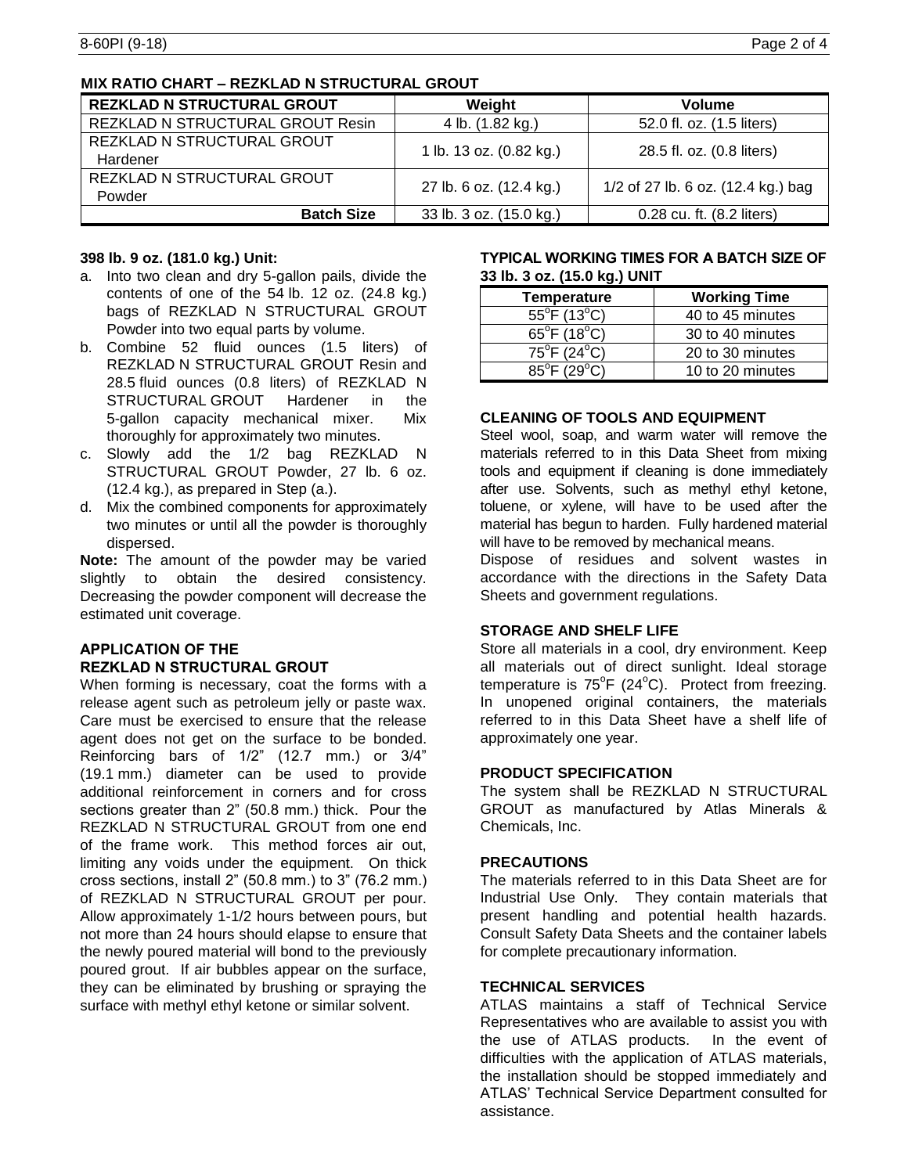# **MIX RATIO CHART – REZKLAD N STRUCTURAL GROUT**

| <b>REZKLAD N STRUCTURAL GROUT</b> | Weight                  | Volume                             |  |
|-----------------------------------|-------------------------|------------------------------------|--|
| REZKLAD N STRUCTURAL GROUT Resin  | 4 lb. (1.82 kg.)        | 52.0 fl. oz. (1.5 liters)          |  |
| REZKLAD N STRUCTURAL GROUT        | 1 lb. 13 oz. (0.82 kg.) | 28.5 fl. oz. (0.8 liters)          |  |
| Hardener                          |                         |                                    |  |
| REZKLAD N STRUCTURAL GROUT        | 27 lb. 6 oz. (12.4 kg.) | 1/2 of 27 lb. 6 oz. (12.4 kg.) bag |  |
| Powder                            |                         |                                    |  |
| <b>Batch Size</b>                 | 33 lb. 3 oz. (15.0 kg.) | 0.28 cu. ft. (8.2 liters)          |  |

#### **398 lb. 9 oz. (181.0 kg.) Unit:**

- a. Into two clean and dry 5-gallon pails, divide the contents of one of the 54 lb. 12 oz. (24.8 kg.) bags of REZKLAD N STRUCTURAL GROUT Powder into two equal parts by volume.
- b. Combine 52 fluid ounces (1.5 liters) of REZKLAD N STRUCTURAL GROUT Resin and 28.5 fluid ounces (0.8 liters) of REZKLAD N STRUCTURAL GROUT Hardener in the 5-gallon capacity mechanical mixer. Mix thoroughly for approximately two minutes.
- c. Slowly add the 1/2 bag REZKLAD N STRUCTURAL GROUT Powder, 27 lb. 6 oz. (12.4 kg.), as prepared in Step (a.).
- d. Mix the combined components for approximately two minutes or until all the powder is thoroughly dispersed.

**Note:** The amount of the powder may be varied slightly to obtain the desired consistency. Decreasing the powder component will decrease the estimated unit coverage.

# **APPLICATION OF THE REZKLAD N STRUCTURAL GROUT**

When forming is necessary, coat the forms with a release agent such as petroleum jelly or paste wax. Care must be exercised to ensure that the release agent does not get on the surface to be bonded. Reinforcing bars of 1/2" (12.7 mm.) or 3/4" (19.1 mm.) diameter can be used to provide additional reinforcement in corners and for cross sections greater than 2" (50.8 mm.) thick. Pour the REZKLAD N STRUCTURAL GROUT from one end of the frame work. This method forces air out, limiting any voids under the equipment. On thick cross sections, install 2" (50.8 mm.) to 3" (76.2 mm.) of REZKLAD N STRUCTURAL GROUT per pour. Allow approximately 1-1/2 hours between pours, but not more than 24 hours should elapse to ensure that the newly poured material will bond to the previously poured grout. If air bubbles appear on the surface, they can be eliminated by brushing or spraying the surface with methyl ethyl ketone or similar solvent.

#### **TYPICAL WORKING TIMES FOR A BATCH SIZE OF 33 lb. 3 oz. (15.0 kg.) UNIT**

| Temperature                                | <b>Working Time</b> |
|--------------------------------------------|---------------------|
| $55^{\circ}F(13^{\circ}C)$                 | 40 to 45 minutes    |
| 65 $^{\circ}$ F (18 $^{\circ}$ C)          | 30 to 40 minutes    |
| $75^{\circ}F(24^{\circ}C)$                 | 20 to 30 minutes    |
| $\overline{85^{\circ}F}$ (29 $^{\circ}C$ ) | 10 to 20 minutes    |

# **CLEANING OF TOOLS AND EQUIPMENT**

Steel wool, soap, and warm water will remove the materials referred to in this Data Sheet from mixing tools and equipment if cleaning is done immediately after use. Solvents, such as methyl ethyl ketone, toluene, or xylene, will have to be used after the material has begun to harden. Fully hardened material will have to be removed by mechanical means.

Dispose of residues and solvent wastes in accordance with the directions in the Safety Data Sheets and government regulations.

#### **STORAGE AND SHELF LIFE**

Store all materials in a cool, dry environment. Keep all materials out of direct sunlight. Ideal storage temperature is  $75^{\circ}F$  (24 $^{\circ}C$ ). Protect from freezing. In unopened original containers, the materials referred to in this Data Sheet have a shelf life of approximately one year.

#### **PRODUCT SPECIFICATION**

The system shall be REZKLAD N STRUCTURAL GROUT as manufactured by Atlas Minerals & Chemicals, Inc.

#### **PRECAUTIONS**

The materials referred to in this Data Sheet are for Industrial Use Only. They contain materials that present handling and potential health hazards. Consult Safety Data Sheets and the container labels for complete precautionary information.

### **TECHNICAL SERVICES**

ATLAS maintains a staff of Technical Service Representatives who are available to assist you with the use of ATLAS products. In the event of difficulties with the application of ATLAS materials, the installation should be stopped immediately and ATLAS' Technical Service Department consulted for assistance.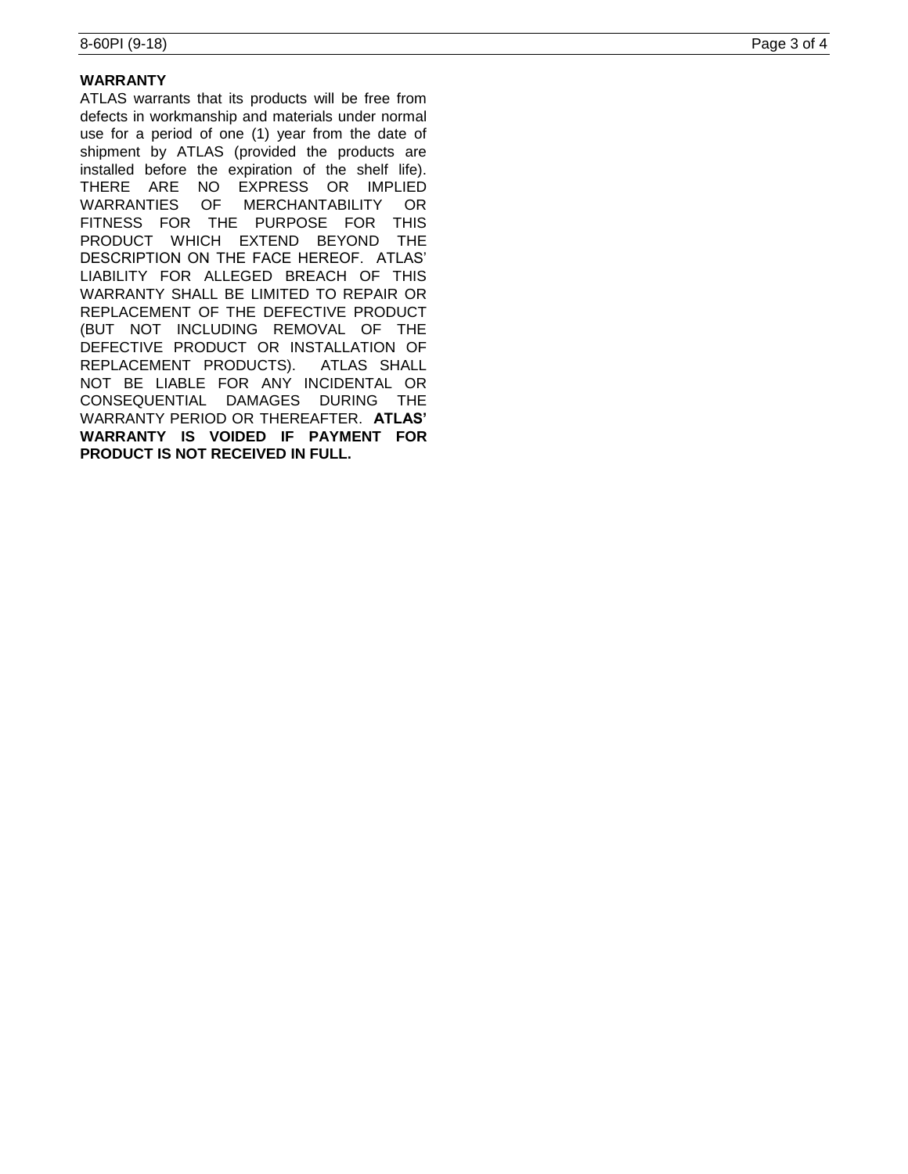# **WARRANTY**

ATLAS warrants that its products will be free from defects in workmanship and materials under normal use for a period of one (1) year from the date of shipment by ATLAS (provided the products are installed before the expiration of the shelf life). THERE ARE NO EXPRESS OR IMPLIED WARRANTIES OF MERCHANTABILITY OR FITNESS FOR THE PURPOSE FOR THIS PRODUCT WHICH EXTEND BEYOND THE DESCRIPTION ON THE FACE HEREOF. ATLAS' LIABILITY FOR ALLEGED BREACH OF THIS WARRANTY SHALL BE LIMITED TO REPAIR OR REPLACEMENT OF THE DEFECTIVE PRODUCT (BUT NOT INCLUDING REMOVAL OF THE DEFECTIVE PRODUCT OR INSTALLATION OF REPLACEMENT PRODUCTS). ATLAS SHALL NOT BE LIABLE FOR ANY INCIDENTAL OR CONSEQUENTIAL DAMAGES DURING THE WARRANTY PERIOD OR THEREAFTER. **ATLAS' WARRANTY IS VOIDED IF PAYMENT FOR PRODUCT IS NOT RECEIVED IN FULL.**